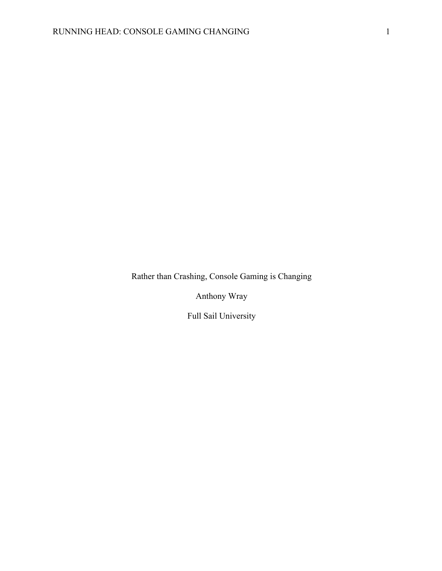Rather than Crashing, Console Gaming is Changing

Anthony Wray

Full Sail University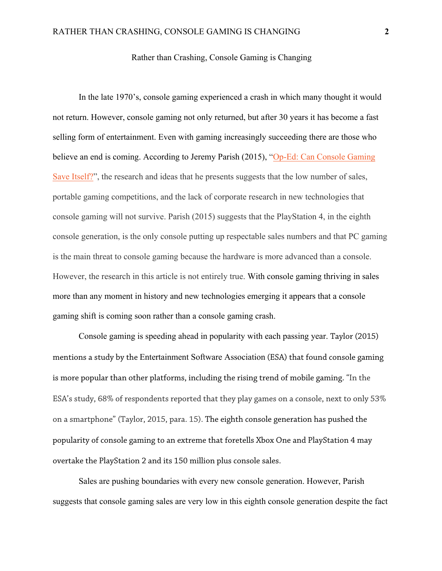## Rather than Crashing, Console Gaming is Changing

In the late 1970's, console gaming experienced a crash in which many thought it would not return. However, console gaming not only returned, but after 30 years it has become a fast selling form of entertainment. Even with gaming increasingly succeeding there are those who believe an end is coming. According to Jeremy Parish (2015), "Op-Ed: Can Console Gaming Save Itself?", the research and ideas that he presents suggests that the low number of sales, portable gaming competitions, and the lack of corporate research in new technologies that console gaming will not survive. Parish (2015) suggests that the PlayStation 4, in the eighth console generation, is the only console putting up respectable sales numbers and that PC gaming is the main threat to console gaming because the hardware is more advanced than a console. However, the research in this article is not entirely true. With console gaming thriving in sales more than any moment in history and new technologies emerging it appears that a console gaming shift is coming soon rather than a console gaming crash.

Console gaming is speeding ahead in popularity with each passing year. Taylor (2015) mentions a study by the Entertainment Software Association (ESA) that found console gaming is more popular than other platforms, including the rising trend of mobile gaming. "In the ESA's study, 68% of respondents reported that they play games on a console, next to only 53% on a smartphone" (Taylor, 2015, para. 15). The eighth console generation has pushed the popularity of console gaming to an extreme that foretells Xbox One and PlayStation 4 may overtake the PlayStation 2 and its 150 million plus console sales.

Sales are pushing boundaries with every new console generation. However, Parish suggests that console gaming sales are very low in this eighth console generation despite the fact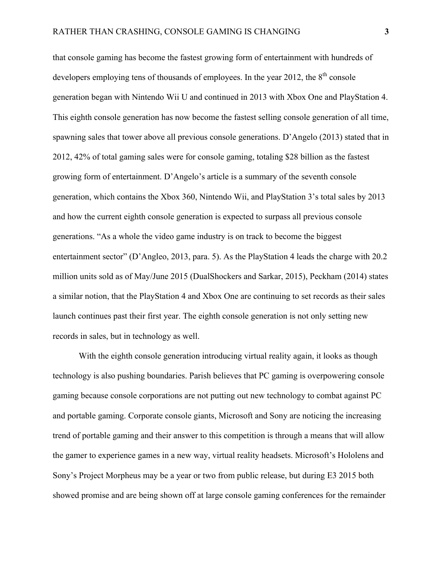that console gaming has become the fastest growing form of entertainment with hundreds of developers employing tens of thousands of employees. In the year 2012, the  $8<sup>th</sup>$  console generation began with Nintendo Wii U and continued in 2013 with Xbox One and PlayStation 4. This eighth console generation has now become the fastest selling console generation of all time, spawning sales that tower above all previous console generations. D'Angelo (2013) stated that in 2012, 42% of total gaming sales were for console gaming, totaling \$28 billion as the fastest growing form of entertainment. D'Angelo's article is a summary of the seventh console generation, which contains the Xbox 360, Nintendo Wii, and PlayStation 3's total sales by 2013 and how the current eighth console generation is expected to surpass all previous console generations. "As a whole the video game industry is on track to become the biggest entertainment sector" (D'Angleo, 2013, para. 5). As the PlayStation 4 leads the charge with 20.2 million units sold as of May/June 2015 (DualShockers and Sarkar, 2015), Peckham (2014) states a similar notion, that the PlayStation 4 and Xbox One are continuing to set records as their sales launch continues past their first year. The eighth console generation is not only setting new records in sales, but in technology as well.

With the eighth console generation introducing virtual reality again, it looks as though technology is also pushing boundaries. Parish believes that PC gaming is overpowering console gaming because console corporations are not putting out new technology to combat against PC and portable gaming. Corporate console giants, Microsoft and Sony are noticing the increasing trend of portable gaming and their answer to this competition is through a means that will allow the gamer to experience games in a new way, virtual reality headsets. Microsoft's Hololens and Sony's Project Morpheus may be a year or two from public release, but during E3 2015 both showed promise and are being shown off at large console gaming conferences for the remainder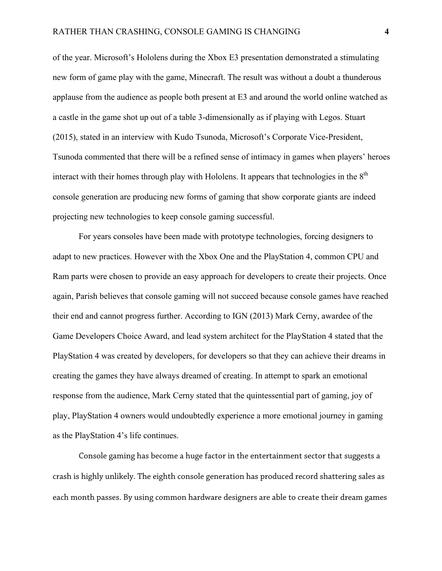of the year. Microsoft's Hololens during the Xbox E3 presentation demonstrated a stimulating new form of game play with the game, Minecraft. The result was without a doubt a thunderous applause from the audience as people both present at E3 and around the world online watched as a castle in the game shot up out of a table 3-dimensionally as if playing with Legos. Stuart (2015), stated in an interview with Kudo Tsunoda, Microsoft's Corporate Vice-President, Tsunoda commented that there will be a refined sense of intimacy in games when players' heroes interact with their homes through play with Hololens. It appears that technologies in the  $8<sup>th</sup>$ console generation are producing new forms of gaming that show corporate giants are indeed projecting new technologies to keep console gaming successful.

For years consoles have been made with prototype technologies, forcing designers to adapt to new practices. However with the Xbox One and the PlayStation 4, common CPU and Ram parts were chosen to provide an easy approach for developers to create their projects. Once again, Parish believes that console gaming will not succeed because console games have reached their end and cannot progress further. According to IGN (2013) Mark Cerny, awardee of the Game Developers Choice Award, and lead system architect for the PlayStation 4 stated that the PlayStation 4 was created by developers, for developers so that they can achieve their dreams in creating the games they have always dreamed of creating. In attempt to spark an emotional response from the audience, Mark Cerny stated that the quintessential part of gaming, joy of play, PlayStation 4 owners would undoubtedly experience a more emotional journey in gaming as the PlayStation 4's life continues.

Console gaming has become a huge factor in the entertainment sector that suggests a crash is highly unlikely. The eighth console generation has produced record shattering sales as each month passes. By using common hardware designers are able to create their dream games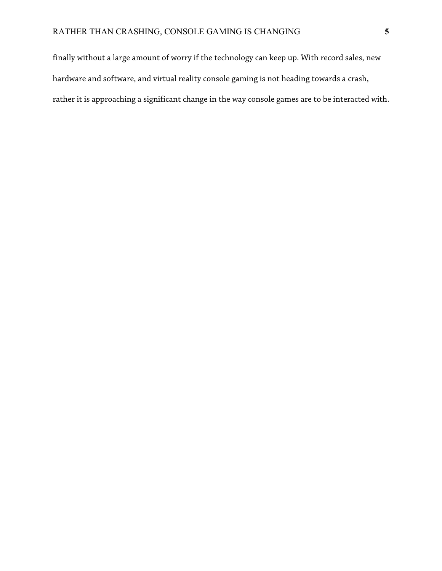finally without a large amount of worry if the technology can keep up. With record sales, new hardware and software, and virtual reality console gaming is not heading towards a crash, rather it is approaching a significant change in the way console games are to be interacted with.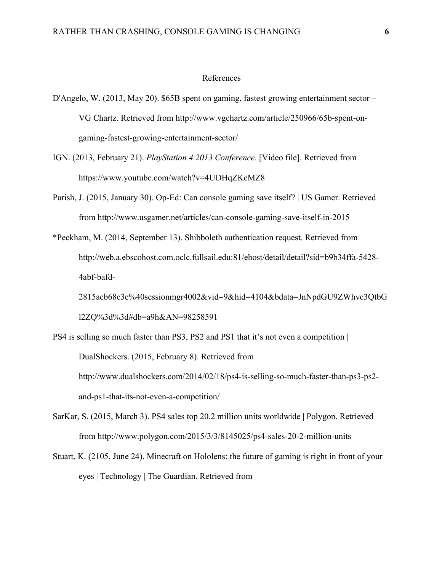## References

- D'Angelo, W. (2013, May 20). \$65B spent on gaming, fastest growing entertainment sector VG Chartz. Retrieved from http://www.vgchartz.com/article/250966/65b-spent-ongaming-fastest-growing-entertainment-sector/
- IGN. (2013, February 21). *PlayStation 4 2013 Conference*. [Video file]. Retrieved from https://www.youtube.com/watch?v=4UDHqZKeMZ8
- Parish, J. (2015, January 30). Op-Ed: Can console gaming save itself? | US Gamer. Retrieved from http://www.usgamer.net/articles/can-console-gaming-save-itself-in-2015
- \*Peckham, M. (2014, September 13). Shibboleth authentication request. Retrieved from http://web.a.ebscohost.com.oclc.fullsail.edu:81/ehost/detail/detail?sid=b9b34ffa-5428- 4abf-bafd-
	- 2815acb68c3e%40sessionmgr4002&vid=9&hid=4104&bdata=JnNpdGU9ZWhvc3QtbG l2ZQ%3d%3d#db=a9h&AN=98258591
- PS4 is selling so much faster than PS3, PS2 and PS1 that it's not even a competition | DualShockers. (2015, February 8). Retrieved from http://www.dualshockers.com/2014/02/18/ps4-is-selling-so-much-faster-than-ps3-ps2 and-ps1-that-its-not-even-a-competition/
- SarKar, S. (2015, March 3). PS4 sales top 20.2 million units worldwide | Polygon. Retrieved from http://www.polygon.com/2015/3/3/8145025/ps4-sales-20-2-million-units
- Stuart, K. (2105, June 24). Minecraft on Hololens: the future of gaming is right in front of your eyes | Technology | The Guardian. Retrieved from